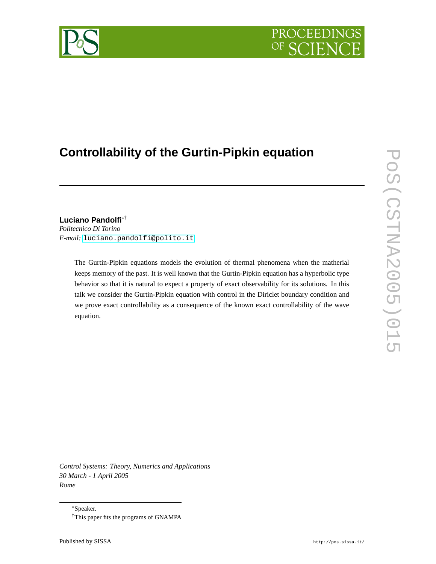# PROCEEDI

## **Controllability of the Gurtin-Pipkin equation**

### **Luciano Pandolfi**∗†

*Politecnico Di Torino E-mail:* [luciano.pandolfi@polito.it](mailto:luciano.pandolfi@polito.it)

> The Gurtin-Pipkin equations models the evolution of thermal phenomena when the matherial keeps memory of the past. It is well known that the Gurtin-Pipkin equation has a hyperbolic type behavior so that it is natural to expect a property of exact observability for its solutions. In this talk we consider the Gurtin-Pipkin equation with control in the Diriclet boundary condition and we prove exact controllability as a consequence of the known exact controllability of the wave equation.

*Control Systems: Theory, Numerics and Applications 30 March - 1 April 2005 Rome*



<sup>∗</sup>Speaker. †This paper fits the programs of GNAMPA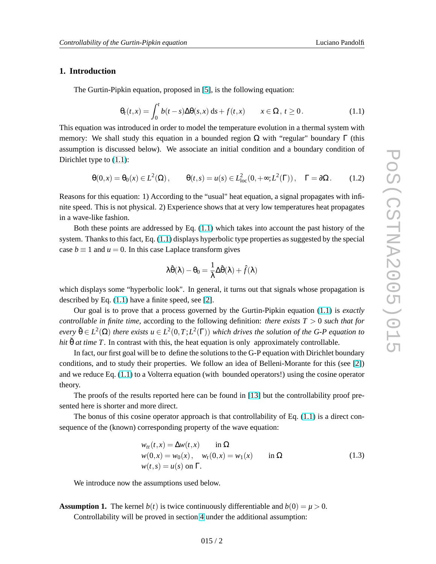#### <span id="page-1-0"></span>**1. Introduction**

The Gurtin-Pipkin equation, proposed in [\[5\]](#page-10-0), is the following equation:

$$
\theta_t(t,x) = \int_0^t b(t-s)\Delta\theta(s,x) \,ds + f(t,x) \qquad x \in \Omega, \ t \ge 0. \tag{1.1}
$$

This equation was introduced in order to model the temperature evolution in a thermal system with memory: We shall study this equation in a bounded region  $\Omega$  with "regular" boundary Γ (this assumption is discussed below). We associate an initial condition and a boundary condition of Dirichlet type to (1.1):

$$
\Theta(0,x) = \Theta_0(x) \in L^2(\Omega), \qquad \Theta(t,s) = u(s) \in L^2_{loc}(0,+\infty;L^2(\Gamma)), \quad \Gamma = \partial\Omega. \tag{1.2}
$$

Reasons for this equation: 1) According to the "usual" heat equation, a signal propagates with infinite speed. This is not physical. 2) Experience shows that at very low temperatures heat propagates in a wave-like fashion.

Both these points are addressed by Eq. (1.1) which takes into account the past history of the system. Thanks to this fact, Eq. (1.1) displays hyperbolic type properties as suggested by the special case  $b \equiv 1$  and  $u = 0$ . In this case Laplace transform gives

$$
\lambda\hat{\theta}(\lambda)-\theta_0=\frac{1}{\lambda}\Delta\hat{\theta}(\lambda)+\hat{f}(\lambda)
$$

which displays some "hyperbolic look". In general, it turns out that signals whose propagation is described by Eq.  $(1.1)$  have a finite speed, see [\[2\]](#page-10-0).

Our goal is to prove that a process governed by the Gurtin-Pipkin equation (1.1) is *exactly controllable in finite time,* according to the following definition: *there exists T* > 0 *such that for*  $e$ *very*  $\tilde{\theta} \in L^2(\Omega)$  *there exists*  $u \in L^2(0,T;L^2(\Gamma))$  *which drives the solution of the G-P equation to hit*  $\tilde{\theta}$  *at time T*. In contrast with this, the heat equation is only approximately controllable.

In fact, our first goal will be to define the solutions to the G-P equation with Dirichlet boundary conditions, and to study their properties. We follow an idea of Belleni-Morante for this (see [\[2\]](#page-10-0)) and we reduce Eq. (1.1) to a Volterra equation (with bounded operators!) using the cosine operator theory.

The proofs of the results reported here can be found in [\[13\]](#page-10-0) but the controllability proof presented here is shorter and more direct.

The bonus of this cosine operator approach is that controllability of Eq. (1.1) is a direct consequence of the (known) corresponding property of the wave equation:

$$
w_{tt}(t,x) = \Delta w(t,x) \quad \text{in } \Omega
$$
  
\n
$$
w(0,x) = w_0(x), \quad w_t(0,x) = w_1(x) \quad \text{in } \Omega
$$
  
\n
$$
w(t,s) = u(s) \text{ on } \Gamma.
$$
\n(1.3)

We introduce now the assumptions used below.

**Assumption 1.** The kernel  $b(t)$  is twice continuously differentiable and  $b(0) = \mu > 0$ . Controllability will be proved in section [4](#page-7-0) under the additional assumption: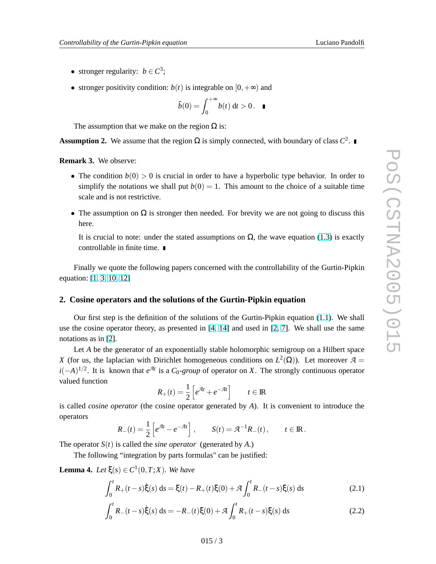- stronger regularity:  $b \in C^3$ ;
- stronger positivity condition:  $b(t)$  is integrable on  $[0, +\infty)$  and

$$
\hat{b}(0) = \int_0^{+\infty} b(t) \, \mathrm{d}t > 0. \quad \blacksquare
$$

The assumption that we make on the region  $\Omega$  is:

**Assumption 2.** We assume that the region  $\Omega$  is simply connected, with boundary of class  $C^2$ .

**Remark 3.** We observe:

- The condition  $b(0) > 0$  is crucial in order to have a hyperbolic type behavior. In order to simplify the notations we shall put  $b(0) = 1$ . This amount to the choice of a suitable time scale and is not restrictive.
- The assumption on  $\Omega$  is stronger then needed. For brevity we are not going to discuss this here.

It is crucial to note: under the stated assumptions on  $\Omega$ , the wave equation [\(1.3\)](#page-1-0) is exactly controllable in finite time.

Finally we quote the following papers concerned with the controllability of the Gurtin-Pipkin equation: [\[1,](#page-10-0) [3,](#page-10-0) [10,](#page-10-0) [12\]](#page-10-0)

#### **2. Cosine operators and the solutions of the Gurtin-Pipkin equation**

Our first step is the definition of the solutions of the Gurtin-Pipkin equation [\(1.1\)](#page-1-0). We shall use the cosine operator theory, as presented in [\[4,](#page-10-0) [14\]](#page-10-0) and used in [\[2,](#page-10-0) [7\]](#page-10-0). We shall use the same notations as in [\[2\]](#page-10-0).

Let *A* be the generator of an exponentially stable holomorphic semigroup on a Hilbert space *X* (for us, the laplacian with Dirichlet homogeneous conditions on  $L^2(\Omega)$ ). Let moreover  $\mathcal{A} =$  $i(-A)^{1/2}$ . It is known that *e*<sup> $\mathcal{A}$ *t*</sup> is a *C*<sub>0</sub>-*group* of operator on *X*. The strongly continuous operator valued function h i

$$
R_+(t) = \frac{1}{2} \left[ e^{\mathcal{A}t} + e^{-\mathcal{A}t} \right] \qquad t \in \mathbb{R}
$$

is called *cosine operator* (the cosine operator generated by *A*). It is convenient to introduce the operators h i

$$
R_{-}(t) = \frac{1}{2} \left[ e^{\mathcal{A}t} - e^{-\mathcal{A}t} \right], \qquad S(t) = \mathcal{A}^{-1} R_{-}(t), \qquad t \in \mathbb{R}.
$$

The operator  $S(t)$  is called the *sine operator* (generated by A.)

The following "integration by parts formulas" can be justified:

**Lemma 4.** Let  $\xi(s) \in C^1(0,T;X)$ . We have

$$
\int_0^t R_+(t-s)\dot{\xi}(s) ds = \xi(t) - R_+(t)\xi(0) + \mathcal{A} \int_0^t R_-(t-s)\xi(s) ds \tag{2.1}
$$

$$
\int_0^t R_-(t-s)\dot{\xi}(s) ds = -R_-(t)\xi(0) + \mathcal{A} \int_0^t R_+(t-s)\xi(s) ds \tag{2.2}
$$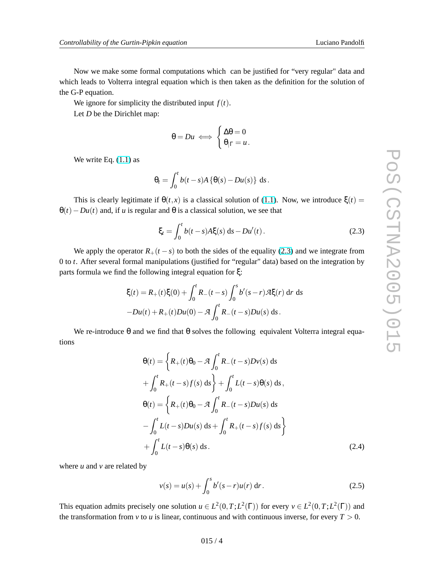<span id="page-3-0"></span>Now we make some formal computations which can be justified for "very regular" data and which leads to Volterra integral equation which is then taken as the definition for the solution of the G-P equation.

We ignore for simplicity the distributed input  $f(t)$ .

Let *D* be the Dirichlet map:

$$
\theta = Du \iff \begin{cases} \Delta \theta = 0 \\ \theta_{|\Gamma} = u. \end{cases}
$$

We write Eq.  $(1.1)$  as

$$
\theta_t = \int_0^t b(t-s)A\left\{\theta(s) - Du(s)\right\} ds.
$$

This is clearly legitimate if  $\theta(t, x)$  is a classical solution of [\(1.1\)](#page-1-0). Now, we introduce  $\xi(t) =$  $\theta(t) - Du(t)$  and, if *u* is regular and  $\theta$  is a classical solution, we see that

$$
\xi_t = \int_0^t b(t - s) A \xi(s) \, ds - Du'(t) \,. \tag{2.3}
$$

We apply the operator  $R_+(t-s)$  to both the sides of the equality (2.3) and we integrate from 0 to *t*. After several formal manipulations (justified for "regular" data) based on the integration by parts formula we find the following integral equation for ξ:

$$
\xi(t) = R_+(t)\xi(0) + \int_0^t R_-(t-s) \int_0^s b'(s-r) \mathcal{A}\xi(r) \, dr \, ds
$$

$$
-Du(t) + R_+(t)Du(0) - \mathcal{A} \int_0^t R_-(t-s)Du(s) \, ds.
$$

We re-introduce  $\theta$  and we find that  $\theta$  solves the following equivalent Volterra integral equations

$$
\Theta(t) = \left\{ R_+(t)\Theta_0 - \mathcal{A} \int_0^t R_-(t-s)Dv(s) \, ds \right\}
$$

$$
+ \int_0^t R_+(t-s)f(s) \, ds \right\} + \int_0^t L(t-s)\Theta(s) \, ds,
$$

$$
\Theta(t) = \left\{ R_+(t)\Theta_0 - \mathcal{A} \int_0^t R_-(t-s)Du(s) \, ds \right\}
$$

$$
- \int_0^t L(t-s)Du(s) \, ds + \int_0^t R_+(t-s)f(s) \, ds \right\}
$$

$$
+ \int_0^t L(t-s)\Theta(s) \, ds.
$$
(2.4)

where *u* and *v* are related by

$$
v(s) = u(s) + \int_0^s b'(s - r)u(r) dr.
$$
 (2.5)

This equation admits precisely one solution  $u \in L^2(0,T;L^2(\Gamma))$  for every  $v \in L^2(0,T;L^2(\Gamma))$  and the transformation from  $\nu$  to  $\mu$  is linear, continuous and with continuous inverse, for every  $T > 0$ .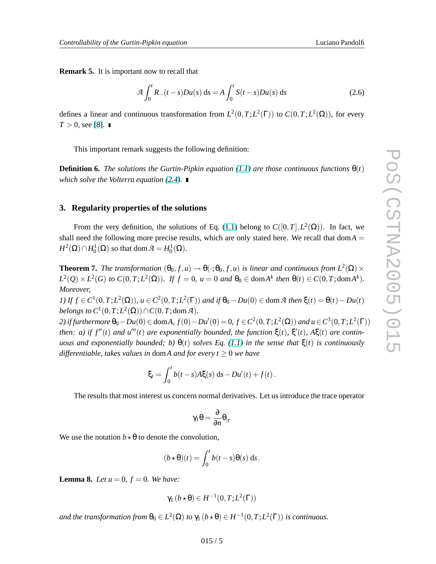<span id="page-4-0"></span>**Remark 5.** It is important now to recall that

$$
\mathcal{A}\int_0^t R_-(t-s)Du(s) ds = A\int_0^t S(t-s)Du(s) ds \qquad (2.6)
$$

defines a linear and continuous transformation from  $L^2(0,T;L^2(\Gamma))$  to  $C(0,T;L^2(\Omega))$ , for every *T* > 0, see [\[8\]](#page-10-0). ■

This important remark suggests the following definition:

**Definition 6.** *The solutions the Gurtin-Pipkin equation* [\(1.1\)](#page-1-0) *are those continuous functions*  $\theta(t)$ *which solve the Volterra equation [\(2.4\)](#page-3-0).*

#### **3. Regularity properties of the solutions**

From the very definition, the solutions of Eq. [\(1.1\)](#page-1-0) belong to  $C([0,T], L^2(\Omega))$ . In fact, we shall need the following more precise results, which are only stated here. We recall that dom $A =$  $H^2(\Omega) \cap H^1_0(\Omega)$  so that dom  $\mathcal{A} = H^1_0(\Omega)$ .

**Theorem 7.** *The transformation*  $(\theta_0, f, u) \rightarrow \theta(\cdot; \theta_0, f, u)$  *is linear and continuous from*  $L^2(\Omega) \times$  $L^2(Q) \times L^2(G)$  to  $C(0,T;L^2(\Omega))$ . If  $f=0$ ,  $u=0$  and  $\theta_0 \in \text{dom} A^k$  then  $\theta(t) \in C(0,T;\text{dom} A^k)$ . *Moreover,*

*I*) *If f* ∈ *C*<sup>1</sup>(0,*T*;*L*<sup>2</sup>( $\Omega$ )), *u* ∈ *C*<sup>2</sup>(0,*T*;*L*<sup>2</sup>( $\Gamma$ )) *and if*  $\theta_0 - Du(0) \in \text{dom } A$  *then*  $\xi(t) = \theta(t) - Du(t)$ *belongs to*  $C^1(0,T;L^2(\Omega)) \cap C(0,T; \text{dom } \mathcal{A})$ *.* 

*2*) *if furthermore*  $θ_0 - Du(0) \in \text{dom}A$ ,  $f(0) - Du'(0) = 0$ ,  $f ∈ C^2(0, T; L^2(\Omega))$  *and*  $u ∈ C^3(0, T; L^2(Γ))$  $t$  *then:* a) if  $f''(t)$  and  $u'''(t)$  are exponentially bounded, the function  $\xi(t)$ ,  $\xi'(t)$ ,  $A\xi(t)$  are contin*uous and exponentially bounded; b)*  $\theta(t)$  *solves Eq.* [\(1.1\)](#page-1-0) *in the sense that*  $\xi(t)$  *is continuously differentiable, takes values in domA and for every*  $t \geq 0$  *we have* 

$$
\xi_t = \int_0^t b(t-s)A\xi(s) \, ds - Du'(t) + f(t).
$$

The results that most interest us concern normal derivatives. Let us introduce the trace operator

$$
\gamma_1\theta=\frac{\partial}{\partial n}\theta_{|_{\Gamma}}
$$

We use the notation  $b \star \theta$  to denote the convolution,

$$
(b \star \theta)(t) = \int_0^t b(t - s)\theta(s) \, ds.
$$

**Lemma 8.** *Let*  $u = 0$ ,  $f = 0$ *. We have:* 

$$
\gamma_1(b\star\theta)\in H^{-1}(0,T;L^2(\Gamma))
$$

and the transformation from  $\theta_0 \in L^2(\Omega)$  to  $\gamma_1(b \star \theta) \in H^{-1}(0,T;L^2(\Gamma))$  is continuous.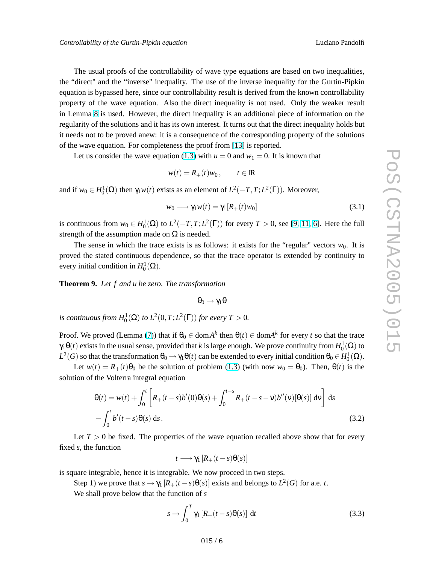<span id="page-5-0"></span>The usual proofs of the controllability of wave type equations are based on two inequalities, the "direct" and the "inverse" inequality. The use of the inverse inequality for the Gurtin-Pipkin equation is bypassed here, since our controllability result is derived from the known controllability property of the wave equation. Also the direct inequality is not used. Only the weaker result in Lemma [8](#page-4-0) is used. However, the direct inequality is an additional piece of information on the regularity of the solutions and it has its own interest. It turns out that the direct inequality holds but it needs not to be proved anew: it is a consequence of the corresponding property of the solutions of the wave equation. For completeness the proof from [\[13\]](#page-10-0) is reported.

Let us consider the wave equation [\(1.3\)](#page-1-0) with  $u = 0$  and  $w_1 = 0$ . It is known that

$$
w(t) = R_+(t)w_0, \qquad t \in \mathbb{R}
$$

and if  $w_0 \in H_0^1(\Omega)$  then  $\gamma_1 w(t)$  exists as an element of  $L^2(-T, T; L^2(\Gamma))$ . Moreover,

$$
w_0 \longrightarrow \gamma_1 w(t) = \gamma_1 [R_+(t) w_0]
$$
\n(3.1)

is continuous from  $w_0 \in H_0^1(\Omega)$  to  $L^2(-T, T; L^2(\Gamma))$  for every  $T > 0$ , see [\[9,](#page-10-0) [11,](#page-10-0) [6\]](#page-10-0). Here the full strength of the assumption made on  $\Omega$  is needed.

The sense in which the trace exists is as follows: it exists for the "regular" vectors  $w_0$ . It is proved the stated continuous dependence, so that the trace operator is extended by continuity to every initial condition in  $H_0^1(\Omega)$ .

**Theorem 9.** *Let f and u be zero. The transformation*

$$
\theta_0 \to \gamma_1 \theta
$$

*is continuous from*  $H_0^1(\Omega)$  *to*  $L^2(0,T;L^2(\Gamma))$  *for every*  $T > 0$ *.* 

<u>Proof</u>. We proved (Lemma [\(7\)](#page-4-0)) that if  $θ_0 ∈ domA^k$  then  $θ(t) ∈ domA^k$  for every *t* so that the trace γ1θ(*t*) exists in the usual sense, provided that *k* is large enough. We prove continuity from *H* 1 0 (Ω) to  $L^2(G)$  so that the transformation  $\theta_0 \to \gamma_1 \theta(t)$  can be extended to every initial condition  $\theta_0 \in H^1_0(\Omega)$ .

Let  $w(t) = R_+(t)\theta_0$  be the solution of problem [\(1.3\)](#page-1-0) (with now  $w_0 = \theta_0$ ). Then,  $\theta(t)$  is the solution of the Volterra integral equation

$$
\theta(t) = w(t) + \int_0^t \left[ R_+(t-s)b'(0)\theta(s) + \int_0^{t-s} R_+(t-s-v)b''(v)[\theta(s)] dv \right] ds
$$
  
- 
$$
\int_0^t b'(t-s)\theta(s) ds.
$$
 (3.2)

Let  $T > 0$  be fixed. The properties of the wave equation recalled above show that for every fixed *s*, the function

$$
t \longrightarrow \gamma_1 \left[ R_+(t-s) \theta(s) \right]
$$

is square integrable, hence it is integrable. We now proceed in two steps.

Step 1) we prove that  $s \to \gamma_1 [R_+(t-s)\theta(s)]$  exists and belongs to  $L^2(G)$  for a.e. *t*.

We shall prove below that the function of *s*

$$
s \to \int_0^T \gamma_1 \left[ R_+(t-s) \theta(s) \right] \, \mathrm{d}t \tag{3.3}
$$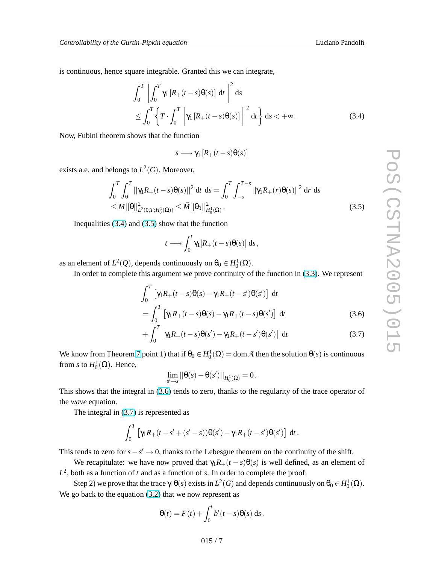is continuous, hence square integrable. Granted this we can integrate,

$$
\int_0^T \left\| \int_0^T \gamma_1 \left[ R_+(t-s) \theta(s) \right] dt \right\|^2 ds
$$
  
\$\leq \int\_0^T \left\{ T \cdot \int\_0^T \left\| \gamma\_1 \left[ R\_+(t-s) \theta(s) \right] \right\|^2 dt \right\} ds < +\infty\$. (3.4)

Now, Fubini theorem shows that the function

$$
s \longrightarrow \gamma_1 \left[ R_+(t-s)\theta(s) \right]
$$

exists a.e. and belongs to  $L^2(G)$ . Moreover,

$$
\int_0^T \int_0^T ||\gamma_1 R_+(t-s)\theta(s)||^2 dt ds = \int_0^T \int_{-s}^{T-s} ||\gamma_1 R_+(r)\theta(s)||^2 dr ds
$$
  
\n
$$
\leq M ||\theta||_{L^2(0,T;H_0^1(\Omega))}^2 \leq \tilde{M} ||\theta_0||_{H_0^1(\Omega)}^2.
$$
\n(3.5)

Inequalities (3.4) and (3.5) show that the function

$$
t \longrightarrow \int_0^t \gamma_1[R_+(t-s)\theta(s)] \, ds \, ,
$$

as an element of  $L^2(Q)$ , depends continuously on  $\theta_0 \in H_0^1(\Omega)$ .

In order to complete this argument we prove continuity of the function in [\(3.3\)](#page-5-0). We represent

$$
\int_0^T \left[ \gamma_1 R_+(t-s) \theta(s) - \gamma_1 R_+(t-s') \theta(s') \right] dt
$$
  
= 
$$
\int_0^T \left[ \gamma_1 R_+(t-s) \theta(s) - \gamma_1 R_+(t-s) \theta(s') \right] dt
$$
 (3.6)

$$
+\int_0^T \left[\gamma_1 R_+(t-s)\theta(s') - \gamma_1 R_+(t-s')\theta(s')\right] dt \tag{3.7}
$$

We know from Theorem [7](#page-4-0) point 1) that if  $\theta_0 \in H_0^1(\Omega) = \text{dom } \mathcal{A}$  then the solution  $\theta(s)$  is continuous from *s* to  $H_0^1(\Omega)$ . Hence,

$$
\lim_{s'\to s}||\theta(s)-\theta(s')||_{H^1_0(\Omega)}=0\,.
$$

This shows that the integral in (3.6) tends to zero, thanks to the regularity of the trace operator of the *wave* equation.

The integral in (3.7) is represented as

$$
\int_0^T \left[ \gamma_1 R_+(t-s'+(s'-s)) \theta(s') - \gamma_1 R_+(t-s') \theta(s') \right] dt.
$$

This tends to zero for  $s - s' \to 0$ , thanks to the Lebesgue theorem on the continuity of the shift.

We recapitulate: we have now proved that  $\gamma_1 R_+(t-s) \theta(s)$  is well defined, as an element of  $L^2$ , both as a function of *t* and as a function of *s*. In order to complete the proof:

Step 2) we prove that the trace  $\gamma_1 \theta(s)$  exists in  $L^2(G)$  and depends continuously on  $\theta_0 \in H_0^1(\Omega)$ . We go back to the equation  $(3.2)$  that we now represent as

$$
\theta(t) = F(t) + \int_0^t b'(t-s)\theta(s) \, ds.
$$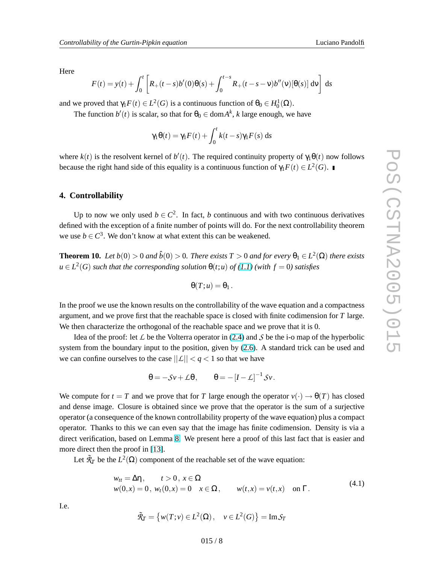<span id="page-7-0"></span>Here

$$
F(t) = y(t) + \int_0^t \left[ R_+(t-s)b'(0)\theta(s) + \int_0^{t-s} R_+(t-s-v)b''(v)[\theta(s)] dv \right] ds
$$

and we proved that  $\gamma_1 F(t) \in L^2(G)$  is a continuous function of  $\theta_0 \in H_0^1(\Omega)$ .

The function  $b'(t)$  is scalar, so that for  $\theta_0 \in \text{dom} A^k$ , k large enough, we have

$$
\gamma_1 \theta(t) = \gamma_1 F(t) + \int_0^t k(t-s) \gamma_1 F(s) \, ds
$$

where  $k(t)$  is the resolvent kernel of  $b'(t)$ . The required continuity property of  $\gamma_1 \theta(t)$  now follows because the right hand side of this equality is a continuous function of  $\gamma_1 F(t) \in L^2(G)$ .

#### **4. Controllability**

Up to now we only used  $b \in C^2$ . In fact, *b* continuous and with two continuous derivatives defined with the exception of a finite number of points will do. For the next controllability theorem we use  $b \in \mathbb{C}^3$ . We don't know at what extent this can be weakened.

**Theorem 10.** *Let*  $b(0) > 0$  *and*  $\hat{b}(0) > 0$ *. There exists*  $T > 0$  *and for every*  $\theta_1 \in L^2(\Omega)$  *there exists*  $u \in L^2(G)$  *such that the corresponding solution*  $\theta(t; u)$  *of* [\(1.1\)](#page-1-0) (with  $f = 0$ ) *satisfies* 

$$
\Theta(T;u)=\Theta_1.
$$

In the proof we use the known results on the controllability of the wave equation and a compactness argument, and we prove first that the reachable space is closed with finite codimension for *T* large. We then characterize the orthogonal of the reachable space and we prove that it is 0.

Idea of the proof: let  $\angle$  be the Volterra operator in [\(2.4\)](#page-3-0) and  $\angle$  be the i-o map of the hyperbolic system from the boundary input to the position, given by [\(2.6\)](#page-4-0). A standard trick can be used and we can confine ourselves to the case  $||L|| < q < 1$  so that we have

$$
\theta = -Sv + \mathcal{L}\theta, \qquad \theta = -[I - \mathcal{L}]^{-1}Sv.
$$

We compute for  $t = T$  and we prove that for *T* large enough the operator  $v(\cdot) \rightarrow \theta(T)$  has closed and dense image. Closure is obtained since we prove that the operator is the sum of a surjective operator (a consequence of the known controllability property of the wave equation) plus a compact operator. Thanks to this we can even say that the image has finite codimension. Density is via a direct verification, based on Lemma [8.](#page-4-0) We present here a proof of this last fact that is easier and more direct then the proof in [\[13\]](#page-10-0).

Let  $\tilde{R}_T$  be the  $L^2(\Omega)$  component of the reachable set of the wave equation:

$$
w_{tt} = \Delta \eta, \t t > 0, x \in \Omega w(0,x) = 0, w_t(0,x) = 0 \t x \in \Omega, \t w(t,x) = v(t,x) \t on \Gamma.
$$
 (4.1)

I.e.

$$
\tilde{\mathcal{R}}_T = \left\{ w(T; v) \in L^2(\Omega), \quad v \in L^2(G) \right\} = \text{Im} \mathcal{S}_T
$$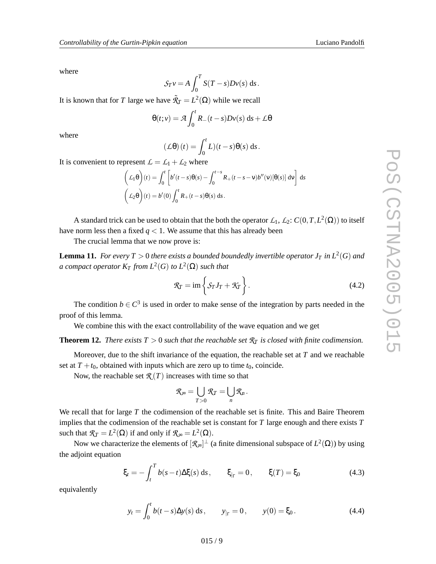<span id="page-8-0"></span>where

$$
S_T v = A \int_0^T S(T - s) Dv(s) \, ds.
$$

It is known that for *T* large we have  $\tilde{\mathcal{R}}_T = L^2(\Omega)$  while we recall

$$
\Theta(t;v) = \mathcal{A} \int_0^t R_-(t-s)Dv(s) \, ds + \mathcal{L}\Theta
$$

where

$$
(\mathcal{L}\theta)(t) = \int_0^t L(t-s)\theta(s) \, ds.
$$

It is convenient to represent  $\mathcal{L} = \mathcal{L}_1 + \mathcal{L}_2$  where

$$
\left(\mathcal{L}_1\theta\right)(t) = \int_0^t \left[ b'(t-s)\theta(s) - \int_0^{t-s} R_+(t-s-v)b''(v)[\theta(s)] dv \right] ds
$$
  

$$
\left(\mathcal{L}_2\theta\right)(t) = b'(0) \int_0^t R_+(t-s)\theta(s) ds.
$$

A standard trick can be used to obtain that the both the operator  $\mathcal{L}_1$ ,  $\mathcal{L}_2$ :  $C(0,T,L^2(\Omega))$  to itself have norm less then a fixed  $q < 1$ . We assume that this has already been

The crucial lemma that we now prove is:

**Lemma 11.** *For every*  $T > 0$  *there exists a bounded boundedly invertible operator*  $J_T$  *in*  $L^2(G)$  *and*  $a$  *compact operator*  $K_T$  *from*  $L^2(G)$  *to*  $L^2(\Omega)$  *such that* 

$$
\mathcal{R}_T = \text{im}\left\{\mathcal{S}_T J_T + \mathcal{K}_T\right\}.
$$
\n(4.2)

The condition  $b \in \mathbb{C}^3$  is used in order to make sense of the integration by parts needed in the proof of this lemma.

We combine this with the exact controllability of the wave equation and we get

#### **Theorem 12.** *There exists*  $T > 0$  *such that the reachable set*  $\mathcal{R}_T$  *is closed with finite codimension.*

Moreover, due to the shift invariance of the equation, the reachable set at *T* and we reachable set at  $T + t_0$ , obtained with inputs which are zero up to time  $t_0$ , coincide.

Now, the reachable set  $\mathcal{R}(T)$  increases with time so that

$$
\mathcal{R}_{\infty} = \bigcup_{T>0} \mathcal{R}_T = \bigcup_n \mathcal{R}_n.
$$

We recall that for large *T* the codimension of the reachable set is finite. This and Baire Theorem implies that the codimension of the reachable set is constant for *T* large enough and there exists *T* such that  $\mathcal{R}_T = L^2(\Omega)$  if and only if  $\mathcal{R}_{\infty} = L^2(\Omega)$ .

Now we characterize the elements of  $[\mathcal{R}_{\infty}]^{\perp}$  (a finite dimensional subspace of  $L^2(\Omega)$ ) by using the adjoint equation

$$
\xi_t = -\int_t^T b(s-t) \Delta \xi(s) \, ds, \qquad \xi_{|_{\Gamma}} = 0, \qquad \xi(T) = \xi_0 \tag{4.3}
$$

equivalently

$$
y_t = \int_0^t b(t-s)\Delta y(s) ds
$$
,  $y_{|_{\Gamma}} = 0$ ,  $y(0) = \xi_0$ . (4.4)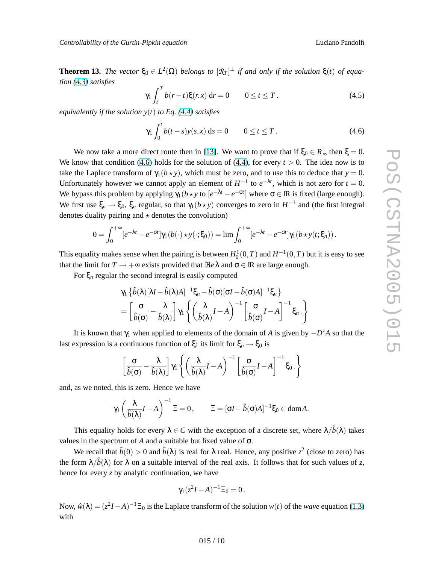**Theorem 13.** *The vector*  $\xi_0 \in L^2(\Omega)$  *belongs to*  $[\mathcal{R}_T]^{\perp}$  *if and only if the solution*  $\xi(t)$  *of equation [\(4.3\)](#page-8-0) satisfies*

$$
\gamma_1 \int_t^T b(r-t) \xi(r,x) \, \mathrm{d}r = 0 \qquad 0 \le t \le T \,. \tag{4.5}
$$

*equivalently if the solution y*(*t*) *to Eq. [\(4.4\)](#page-8-0) satisfies*

$$
\gamma_1 \int_0^t b(t-s) y(s, x) \, ds = 0 \qquad 0 \le t \le T. \tag{4.6}
$$

We now take a more direct route then in [\[13\]](#page-10-0). We want to prove that if  $\xi_0 \in R_{\infty}^{\perp}$  then  $\xi = 0$ . We know that condition (4.6) holds for the solution of [\(4.4\)](#page-8-0), for every  $t > 0$ . The idea now is to take the Laplace transform of  $\gamma_1(b \star y)$ , which must be zero, and to use this to deduce that  $y = 0$ . Unfortunately however we cannot apply an element of  $H^{-1}$  to  $e^{-\lambda t}$ , which is not zero for  $t = 0$ . We bypass this problem by applying  $\gamma_1(b \star y)$  to  $[e^{-\lambda t} - e^{-\sigma t}]$  where  $\sigma \in \mathbb{R}$  is fixed (large enough). We first use  $\xi_n \to \xi_0$ ,  $\xi_n$  regular, so that  $\gamma_1(b \star y)$  converges to zero in  $H^{-1}$  and (the first integral denotes duality pairing and  $\star$  denotes the convolution)

$$
0=\int_0^{+\infty} [e^{-\lambda t}-e^{-\sigma t}]\gamma_1(b(\cdot)\star y(\cdot;\xi_0))=\lim \int_0^{+\infty} [e^{-\lambda t}-e^{-\sigma t}]\gamma_1(b\star y(t;\xi_n)).
$$

This equality makes sense when the pairing is between  $H_0^1(0,T)$  and  $H^{-1}(0,T)$  but it is easy to see that the limit for  $T \to +\infty$  exists provided that  $\Re e \lambda$  and  $\sigma \in \mathbb{R}$  are large enough.

For ξ*<sup>n</sup>* regular the second integral is easily computed

$$
\gamma_1 \left\{ \hat{b}(\lambda) [\lambda I - \hat{b}(\lambda) A]^{-1} \xi_n - \hat{b}(\sigma) [\sigma I - \hat{b}(\sigma) A]^{-1} \xi_n \right\}
$$
  
= 
$$
\left[ \frac{\sigma}{\hat{b}(\sigma)} - \frac{\lambda}{\hat{b}(\lambda)} \right] \gamma_1 \left\{ \left( \frac{\lambda}{\hat{b}(\lambda)} I - A \right)^{-1} \left[ \frac{\sigma}{\hat{b}(\sigma)} I - A \right]^{-1} \xi_n \right\}
$$

It is known that  $\gamma_1$  when applied to elements of the domain of *A* is given by  $-D^*A$  so that the last expression is a continuous function of  $\xi$ : its limit for  $\xi_n \to \xi_0$  is

$$
\left[\frac{\sigma}{\hat{b}(\sigma)} - \frac{\lambda}{\hat{b}(\lambda)}\right]\gamma_1\left\{ \left(\frac{\lambda}{\hat{b}(\lambda)}I - A\right)^{-1}\left[\frac{\sigma}{\hat{b}(\sigma)}I - A\right]^{-1}\xi_0.\right\}
$$

and, as we noted, this is zero. Hence we have

$$
\gamma_1\left(\frac{\lambda}{\hat{\delta}(\lambda)}I-A\right)^{-1}\Xi=0\,,\qquad \Xi=[\sigma I-\hat{b}(\sigma)A]^{-1}\xi_0\in\text{dom}A\,.
$$

This equality holds for every  $\lambda \in C$  with the exception of a discrete set, where  $\lambda/\hat{b}(\lambda)$  takes values in the spectrum of *A* and a suitable but fixed value of σ.

We recall that  $\hat{b}(0) > 0$  and  $\hat{b}(\lambda)$  is real for  $\lambda$  real. Hence, any positive  $z^2$  (close to zero) has the form  $\lambda/\hat{b}(\lambda)$  for  $\lambda$  on a suitable interval of the real axis. It follows that for such values of *z*, hence for every *z* by analytic continuation, we have

$$
\gamma_1(z^2I-A)^{-1}\Xi_0=0.
$$

Now,  $\hat{w}(\lambda) = (z^2I - A)^{-1} \Xi_0$  is the Laplace transform of the solution  $w(t)$  of the *wave* equation [\(1.3\)](#page-1-0) with